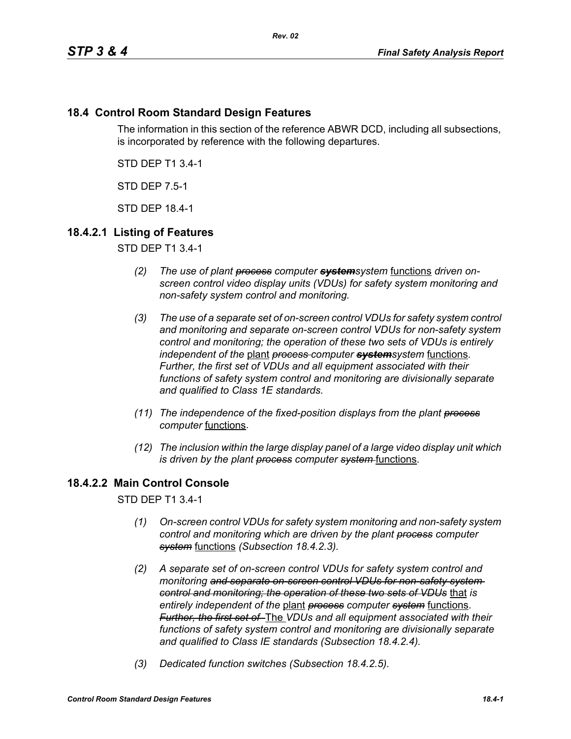# **18.4 Control Room Standard Design Features**

The information in this section of the reference ABWR DCD, including all subsections, is incorporated by reference with the following departures.

STD DEP T1 3.4-1

STD DEP 7.5-1

STD DEP 18.4-1

# **18.4.2.1 Listing of Features**

STD DEP T1 3.4-1

- *(2) The use of plant process computer systemsystem* functions *driven onscreen control video display units (VDUs) for safety system monitoring and non-safety system control and monitoring.*
- *(3) The use of a separate set of on-screen control VDUs for safety system control and monitoring and separate on-screen control VDUs for non-safety system control and monitoring; the operation of these two sets of VDUs is entirely independent of the* plant *process computer systemsystem* functions. *Further, the first set of VDUs and all equipment associated with their functions of safety system control and monitoring are divisionally separate and qualified to Class 1E standards.*
- *(11) The independence of the fixed-position displays from the plant process computer* functions.
- *(12) The inclusion within the large display panel of a large video display unit which is driven by the plant process computer system-functions.*

# **18.4.2.2 Main Control Console**

STD DEP T1 3.4-1

- *(1) On-screen control VDUs for safety system monitoring and non-safety system control and monitoring which are driven by the plant process computer system* functions *(Subsection 18.4.2.3).*
- *(2) A separate set of on-screen control VDUs for safety system control and monitoring and separate on-screen control VDUs for non-safety system control and monitoring; the operation of these two sets of VDUs* that *is entirely independent of the* plant *process computer system* functions. *Further, the first set of* The *VDUs and all equipment associated with their functions of safety system control and monitoring are divisionally separate and qualified to Class IE standards (Subsection 18.4.2.4).*
- *(3) Dedicated function switches (Subsection 18.4.2.5).*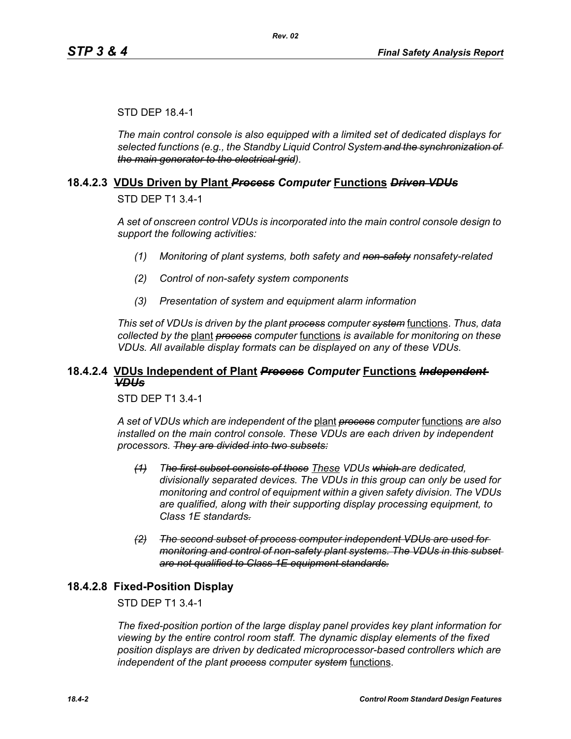#### STD DEP 18.4-1

*The main control console is also equipped with a limited set of dedicated displays for selected functions (e.g., the Standby Liquid Control System and the synchronization of the main generator to the electrical grid).*

#### **18.4.2.3 VDUs Driven by Plant** *Process Computer* **Functions** *Driven VDUs*

STD DEP T1 3.4-1

*A set of onscreen control VDUs is incorporated into the main control console design to support the following activities:*

- *(1) Monitoring of plant systems, both safety and non-safety nonsafety-related*
- *(2) Control of non-safety system components*
- *(3) Presentation of system and equipment alarm information*

*This set of VDUs is driven by the plant process computer system* functions. *Thus, data collected by the* plant *process computer* functions *is available for monitoring on these VDUs. All available display formats can be displayed on any of these VDUs.*

### **18.4.2.4 VDUs Independent of Plant** *Process Computer* **Functions** *Independent VDUs*

STD DEP T1 3.4-1

*A set of VDUs which are independent of the* plant *process computer* functions *are also installed on the main control console. These VDUs are each driven by independent processors. They are divided into two subsets:*

- *(1) The first subset consists of those These VDUs which are dedicated, divisionally separated devices. The VDUs in this group can only be used for monitoring and control of equipment within a given safety division. The VDUs are qualified, along with their supporting display processing equipment, to Class 1E standards.*
- *(2) The second subset of process computer independent VDUs are used for monitoring and control of non-safety plant systems. The VDUs in this subset are not qualified to Class 1E equipment standards.*

### **18.4.2.8 Fixed-Position Display**

#### STD DEP T1 3.4-1

*The fixed-position portion of the large display panel provides key plant information for viewing by the entire control room staff. The dynamic display elements of the fixed position displays are driven by dedicated microprocessor-based controllers which are independent of the plant process computer system* functions.